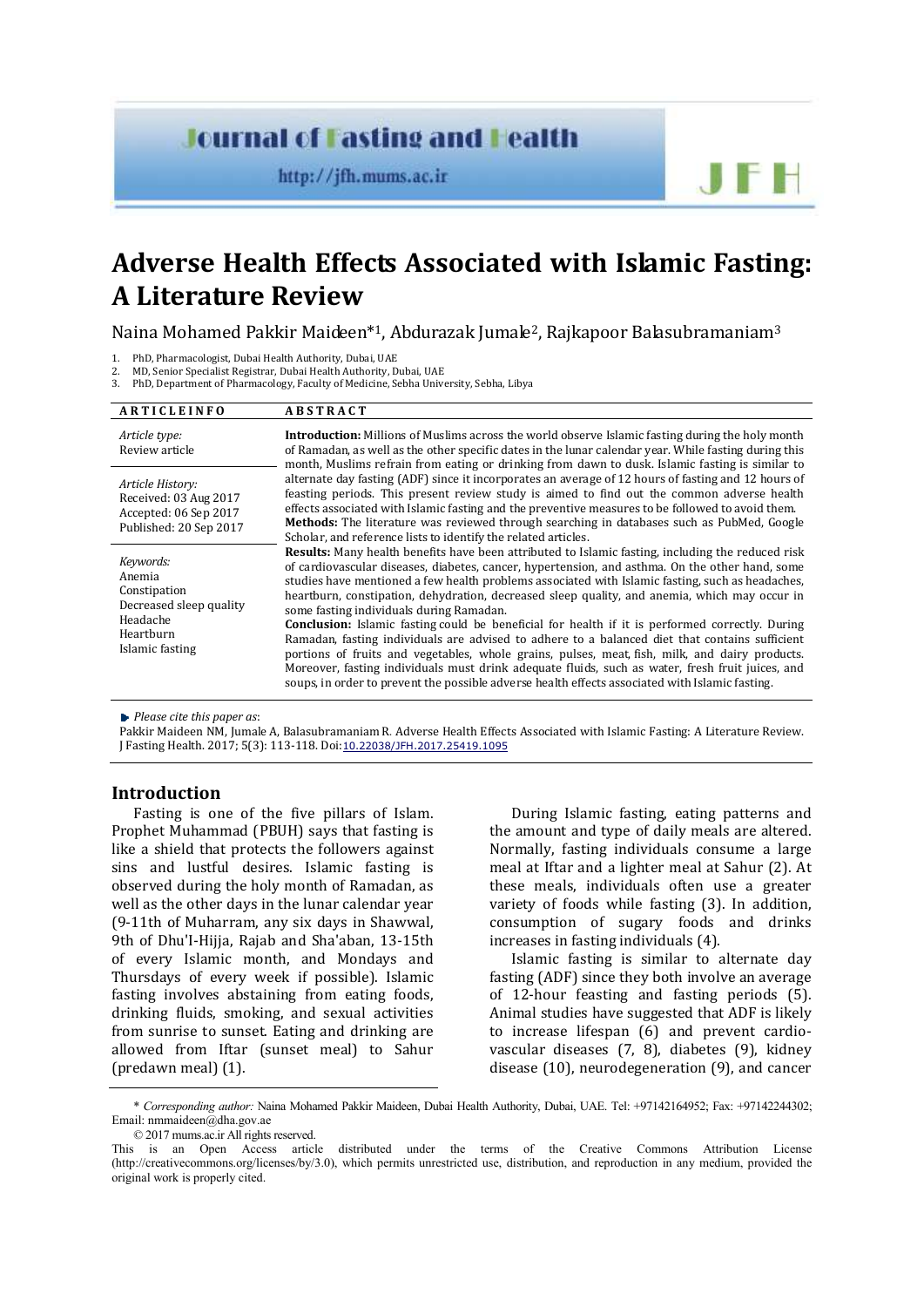# **Journal of Fasting and Health**

http://jfh.mums.ac.ir

# **Adverse Health Effects Associated with Islamic Fasting: A Literature Review**

Naina Mohamed Pakkir Maideen\*1, Abdurazak Jumale2, Rajkapoor Balasubramaniam<sup>3</sup>

1. PhD, Pharmacologist, Dubai Health Authority, Dubai, UAE

2. MD, Senior Specialist Registrar, Dubai Health Authority, Dubai, UAE

PhD, Department of Pharmacology, Faculty of Medicine, Sebha University, Sebha, Libya

| <b>ARTICLEINFO</b>                                                                                         | <b>ABSTRACT</b>                                                                                                                                                                                                                                                                                                                                                                                                                                                                                                                                                                                                                                                                                                                                                                                                                                                                                                                                                                                                                                                                                                                                                                                                                                                                                                                                                                                                                                                                                                                                                                                                                                                                                                                                                                    |  |  |
|------------------------------------------------------------------------------------------------------------|------------------------------------------------------------------------------------------------------------------------------------------------------------------------------------------------------------------------------------------------------------------------------------------------------------------------------------------------------------------------------------------------------------------------------------------------------------------------------------------------------------------------------------------------------------------------------------------------------------------------------------------------------------------------------------------------------------------------------------------------------------------------------------------------------------------------------------------------------------------------------------------------------------------------------------------------------------------------------------------------------------------------------------------------------------------------------------------------------------------------------------------------------------------------------------------------------------------------------------------------------------------------------------------------------------------------------------------------------------------------------------------------------------------------------------------------------------------------------------------------------------------------------------------------------------------------------------------------------------------------------------------------------------------------------------------------------------------------------------------------------------------------------------|--|--|
| Article type:<br>Review article                                                                            | <b>Introduction:</b> Millions of Muslims across the world observe Islamic fasting during the holy month<br>of Ramadan, as well as the other specific dates in the lunar calendar year. While fasting during this<br>month, Muslims refrain from eating or drinking from dawn to dusk. Islamic fasting is similar to<br>alternate day fasting (ADF) since it incorporates an average of 12 hours of fasting and 12 hours of<br>feasting periods. This present review study is aimed to find out the common adverse health<br>effects associated with Islamic fasting and the preventive measures to be followed to avoid them.<br>Methods: The literature was reviewed through searching in databases such as PubMed, Google<br>Scholar, and reference lists to identify the related articles.<br><b>Results:</b> Many health benefits have been attributed to Islamic fasting, including the reduced risk<br>of cardiovascular diseases, diabetes, cancer, hypertension, and asthma. On the other hand, some<br>studies have mentioned a few health problems associated with Islamic fasting, such as headaches,<br>heartburn, constipation, dehydration, decreased sleep quality, and anemia, which may occur in<br>some fasting individuals during Ramadan.<br><b>Conclusion:</b> Islamic fasting could be beneficial for health if it is performed correctly. During<br>Ramadan, fasting individuals are advised to adhere to a balanced diet that contains sufficient<br>portions of fruits and vegetables, whole grains, pulses, meat, fish, milk, and dairy products.<br>Moreover, fasting individuals must drink adequate fluids, such as water, fresh fruit juices, and<br>soups, in order to prevent the possible adverse health effects associated with Islamic fasting. |  |  |
| Article History:<br>Received: 03 Aug 2017<br>Accepted: 06 Sep 2017<br>Published: 20 Sep 2017               |                                                                                                                                                                                                                                                                                                                                                                                                                                                                                                                                                                                                                                                                                                                                                                                                                                                                                                                                                                                                                                                                                                                                                                                                                                                                                                                                                                                                                                                                                                                                                                                                                                                                                                                                                                                    |  |  |
| Keywords:<br>Anemia<br>Constipation<br>Decreased sleep quality<br>Headache<br>Heartburn<br>Islamic fasting |                                                                                                                                                                                                                                                                                                                                                                                                                                                                                                                                                                                                                                                                                                                                                                                                                                                                                                                                                                                                                                                                                                                                                                                                                                                                                                                                                                                                                                                                                                                                                                                                                                                                                                                                                                                    |  |  |

*Please cite this paper as*:

Pakkir Maideen NM, Jumale A, Balasubramaniam R. Adverse Health Effects Associated with Islamic Fasting: A Literature Review. J Fasting Health. 2017; 5(3): 113-118. Doi:10.22038/JFH.2017.25419.1095

# **Introduction**

Fasting is one of the five pillars of Islam. Prophet Muhammad (PBUH) says that fasting is like a shield that protects the followers against sins and lustful desires. Islamic fasting is observed during the holy month of Ramadan, as well as the other days in the lunar calendar year (9-11th of Muharram, any six days in Shawwal, 9th of Dhu'I-Hijja, Rajab and Sha'aban, 13-15th of every Islamic month, and Mondays and Thursdays of every week if possible). Islamic fasting involves abstaining from eating foods, drinking fluids, smoking, and sexual activities from sunrise to sunset. Eating and drinking are allowed from Iftar (sunset meal) to Sahur (predawn meal) (1).

During Islamic fasting, eating patterns and the amount and type of daily meals are altered. Normally, fasting individuals consume a large meal at Iftar and a lighter meal at Sahur (2). At these meals, individuals often use a greater variety of foods while fasting (3). In addition, consumption of sugary foods and drinks increases in fasting individuals (4).

 $\blacksquare$ 

Islamic fasting is similar to alternate day fasting (ADF) since they both involve an average of 12-hour feasting and fasting periods (5). Animal studies have suggested that ADF is likely to increase lifespan (6) and prevent cardiovascular diseases (7, 8), diabetes (9), kidney disease (10), neurodegeneration (9), and cancer

<sup>\*</sup> *Corresponding author:* Naina Mohamed Pakkir Maideen, Dubai Health Authority, Dubai, UAE. Tel: +97142164952; Fax: +97142244302; Email: nmmaideen@dha.gov.ae

<sup>© 2017</sup> mums.ac.ir All rights reserved.

This is an Open Access article distributed under the terms of the Creative Commons Attribution License (http://creativecommons.org/licenses/by/3.0), which permits unrestricted use, distribution, and reproduction in any medium, provided the original work is properly cited.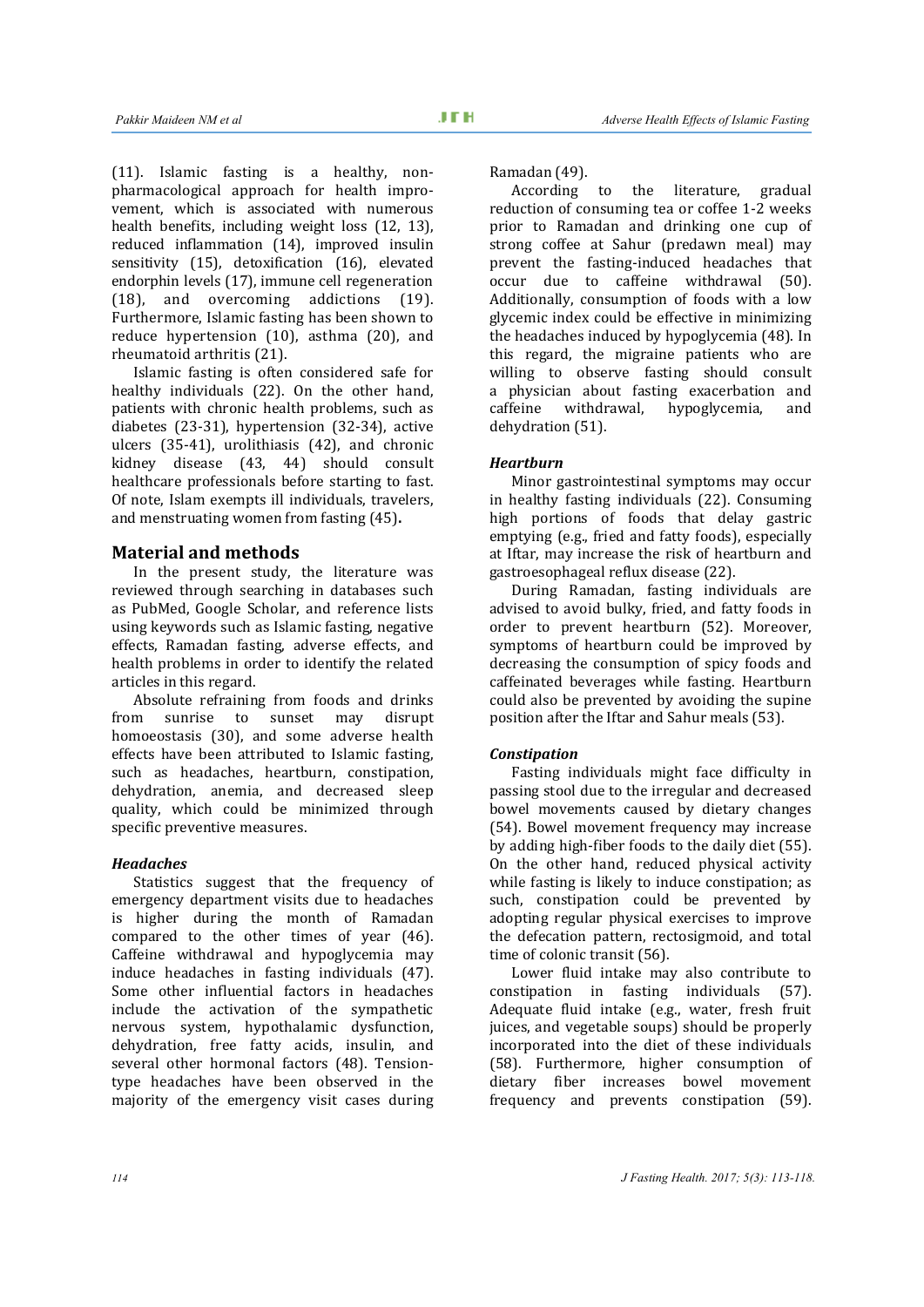(11). Islamic fasting is a healthy, nonpharmacological approach for health improvement, which is associated with numerous health benefits, including weight loss (12, 13), reduced inflammation (14), improved insulin sensitivity (15), detoxification (16), elevated endorphin levels (17), immune cell regeneration (18), and overcoming addictions (19). Furthermore, Islamic fasting has been shown to reduce hypertension (10), asthma (20), and rheumatoid arthritis (21).

Islamic fasting is often considered safe for healthy individuals (22). On the other hand, patients with chronic health problems, such as diabetes (23-31), hypertension (32-34), active ulcers (35-41), urolithiasis (42), and chronic kidney disease (43, 44) should consult healthcare professionals before starting to fast. Of note, Islam exempts ill individuals, travelers, and menstruating women from fasting (45)**.** 

## **Material and methods**

In the present study, the literature was reviewed through searching in databases such as PubMed, Google Scholar, and reference lists using keywords such as Islamic fasting, negative effects, Ramadan fasting, adverse effects, and health problems in order to identify the related articles in this regard.

Absolute refraining from foods and drinks from sunrise to sunset may disrupt homoeostasis (30), and some adverse health effects have been attributed to Islamic fasting, such as headaches, heartburn, constipation, dehydration, anemia, and decreased sleep quality, which could be minimized through specific preventive measures.

#### *Headaches*

Statistics suggest that the frequency of emergency department visits due to headaches is higher during the month of Ramadan compared to the other times of year (46). Caffeine withdrawal and hypoglycemia may induce headaches in fasting individuals (47). Some other influential factors in headaches include the activation of the sympathetic nervous system, hypothalamic dysfunction, dehydration, free fatty acids, insulin, and several other hormonal factors (48). Tensiontype headaches have been observed in the majority of the emergency visit cases during

Ramadan (49).

According to the literature, gradual reduction of consuming tea or coffee 1-2 weeks prior to Ramadan and drinking one cup of strong coffee at Sahur (predawn meal) may prevent the fasting-induced headaches that occur due to caffeine withdrawal (50). Additionally, consumption of foods with a low glycemic index could be effective in minimizing the headaches induced by hypoglycemia (48). In this regard, the migraine patients who are willing to observe fasting should consult a physician about fasting exacerbation and caffeine withdrawal, hypoglycemia, and dehydration (51).

#### *Heartburn*

Minor gastrointestinal symptoms may occur in healthy fasting individuals (22). Consuming high portions of foods that delay gastric emptying (e.g., fried and fatty foods), especially at Iftar, may increase the risk of heartburn and gastroesophageal reflux disease (22).

During Ramadan, fasting individuals are advised to avoid bulky, fried, and fatty foods in order to prevent heartburn (52). Moreover, symptoms of heartburn could be improved by decreasing the consumption of spicy foods and caffeinated beverages while fasting. Heartburn could also be prevented by avoiding the supine position after the Iftar and Sahur meals (53).

#### *Constipation*

Fasting individuals might face difficulty in passing stool due to the irregular and decreased bowel movements caused by dietary changes (54). Bowel movement frequency may increase by adding high-fiber foods to the daily diet (55). On the other hand, reduced physical activity while fasting is likely to induce constipation; as such, constipation could be prevented by adopting regular physical exercises to improve the defecation pattern, rectosigmoid, and total time of colonic transit (56).

Lower fluid intake may also contribute to constipation in fasting individuals (57). Adequate fluid intake (e.g., water, fresh fruit juices, and vegetable soups) should be properly incorporated into the diet of these individuals (58). Furthermore, higher consumption of dietary fiber increases bowel movement frequency and prevents constipation (59).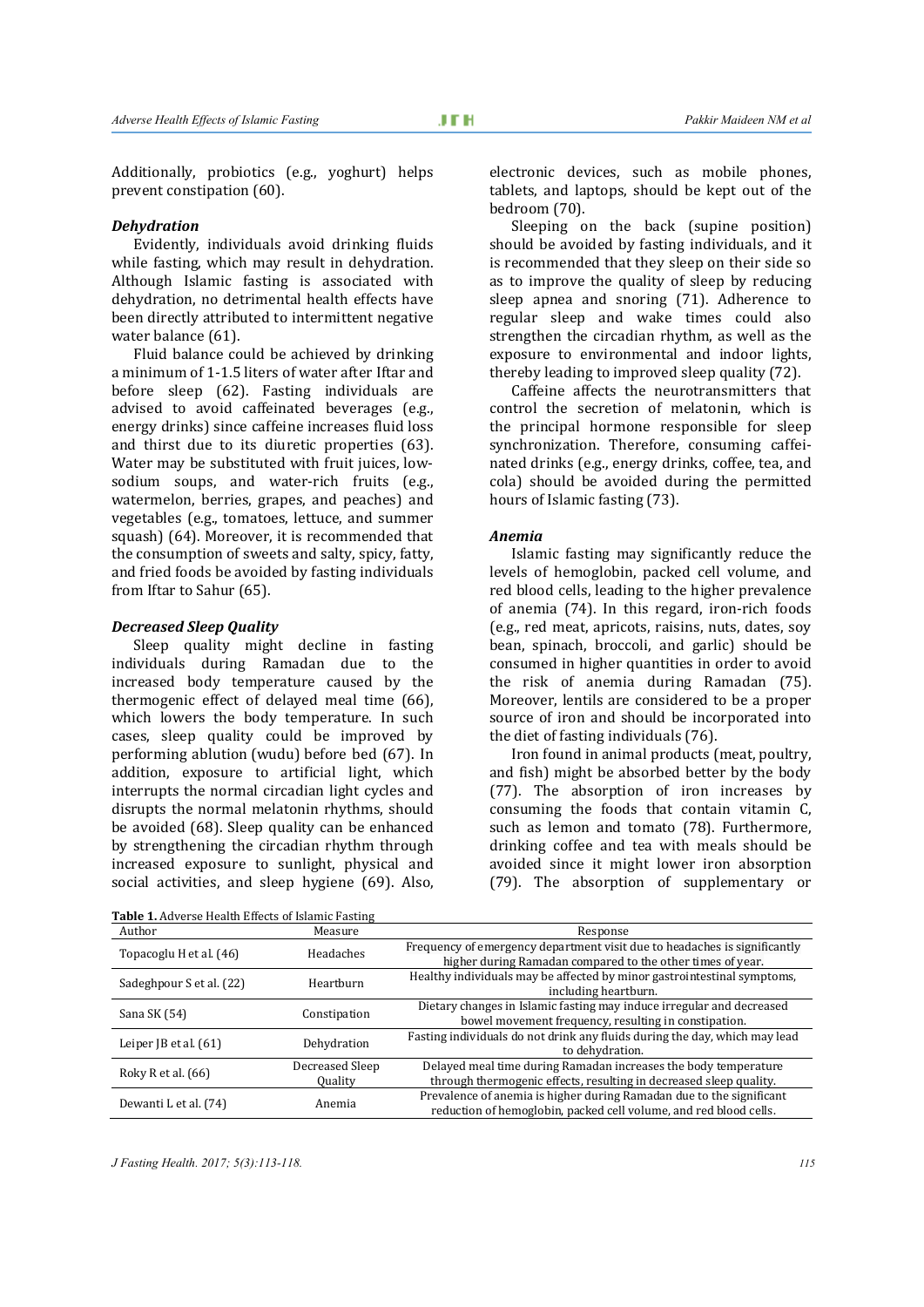Additionally, probiotics (e.g., yoghurt) helps prevent constipation (60).

#### *Dehydration*

Evidently, individuals avoid drinking fluids while fasting, which may result in dehydration. Although Islamic fasting is associated with dehydration, no detrimental health effects have been directly attributed to intermittent negative water balance (61).

Fluid balance could be achieved by drinking a minimum of 1-1.5 liters of water after Iftar and before sleep (62). Fasting individuals are advised to avoid caffeinated beverages (e.g., energy drinks) since caffeine increases fluid loss and thirst due to its diuretic properties (63). Water may be substituted with fruit juices, lowsodium soups, and water-rich fruits (e.g., watermelon, berries, grapes, and peaches) and vegetables (e.g., tomatoes, lettuce, and summer squash) (64). Moreover, it is recommended that the consumption of sweets and salty, spicy, fatty, and fried foods be avoided by fasting individuals from Iftar to Sahur (65).

#### *Decreased Sleep Quality*

Sleep quality might decline in fasting individuals during Ramadan due to the increased body temperature caused by the thermogenic effect of delayed meal time (66), which lowers the body temperature. In such cases, sleep quality could be improved by performing ablution (wudu) before bed (67). In addition, exposure to artificial light, which interrupts the normal circadian light cycles and disrupts the normal melatonin rhythms, should be avoided (68). Sleep quality can be enhanced by strengthening the circadian rhythm through increased exposure to sunlight, physical and social activities, and sleep hygiene (69). Also,

electronic devices, such as mobile phones, tablets, and laptops, should be kept out of the bedroom (70).

Sleeping on the back (supine position) should be avoided by fasting individuals, and it is recommended that they sleep on their side so as to improve the quality of sleep by reducing sleep apnea and snoring (71). Adherence to regular sleep and wake times could also strengthen the circadian rhythm, as well as the exposure to environmental and indoor lights, thereby leading to improved sleep quality (72).

Caffeine affects the neurotransmitters that control the secretion of melatonin, which is the principal hormone responsible for sleep synchronization. Therefore, consuming caffeinated drinks (e.g., energy drinks, coffee, tea, and cola) should be avoided during the permitted hours of Islamic fasting (73).

#### *Anemia*

Islamic fasting may significantly reduce the levels of hemoglobin, packed cell volume, and red blood cells, leading to the higher prevalence of anemia (74). In this regard, iron-rich foods (e.g., red meat, apricots, raisins, nuts, dates, soy bean, spinach, broccoli, and garlic) should be consumed in higher quantities in order to avoid the risk of anemia during Ramadan (75). Moreover, lentils are considered to be a proper source of iron and should be incorporated into the diet of fasting individuals (76).

Iron found in animal products (meat, poultry, and fish) might be absorbed better by the body (77). The absorption of iron increases by consuming the foods that contain vitamin C, such as lemon and tomato (78). Furthermore, drinking coffee and tea with meals should be avoided since it might lower iron absorption (79). The absorption of supplementary or

| Table 1. Adverse Health Effects of Islamic Fasting |                                   |                                                                                                                                           |  |
|----------------------------------------------------|-----------------------------------|-------------------------------------------------------------------------------------------------------------------------------------------|--|
| Author                                             | Measure                           | Response                                                                                                                                  |  |
| Topacoglu H et al. (46)                            | Headaches                         | Frequency of emergency department visit due to headaches is significantly<br>higher during Ramadan compared to the other times of year.   |  |
| Sadeghpour S et al. (22)                           | Hearthurn                         | Healthy individuals may be affected by minor gastrointestinal symptoms,<br>including heartburn.                                           |  |
| Sana SK (54)                                       | Constipation                      | Dietary changes in Islamic fasting may induce irregular and decreased<br>bowel movement frequency, resulting in constipation.             |  |
| Leiper $[B \text{ et al. } (61)]$                  | Dehydration                       | Fasting individuals do not drink any fluids during the day, which may lead<br>to dehydration.                                             |  |
| Roky R et al. (66)                                 | Decreased Sleep<br><b>Quality</b> | Delayed meal time during Ramadan increases the body temperature<br>through thermogenic effects, resulting in decreased sleep quality.     |  |
| Dewanti L et al. (74)                              | Anemia                            | Prevalence of anemia is higher during Ramadan due to the significant<br>reduction of hemoglobin, packed cell volume, and red blood cells. |  |

*J Fasting Health. 2017; 5(3):113-118. 115*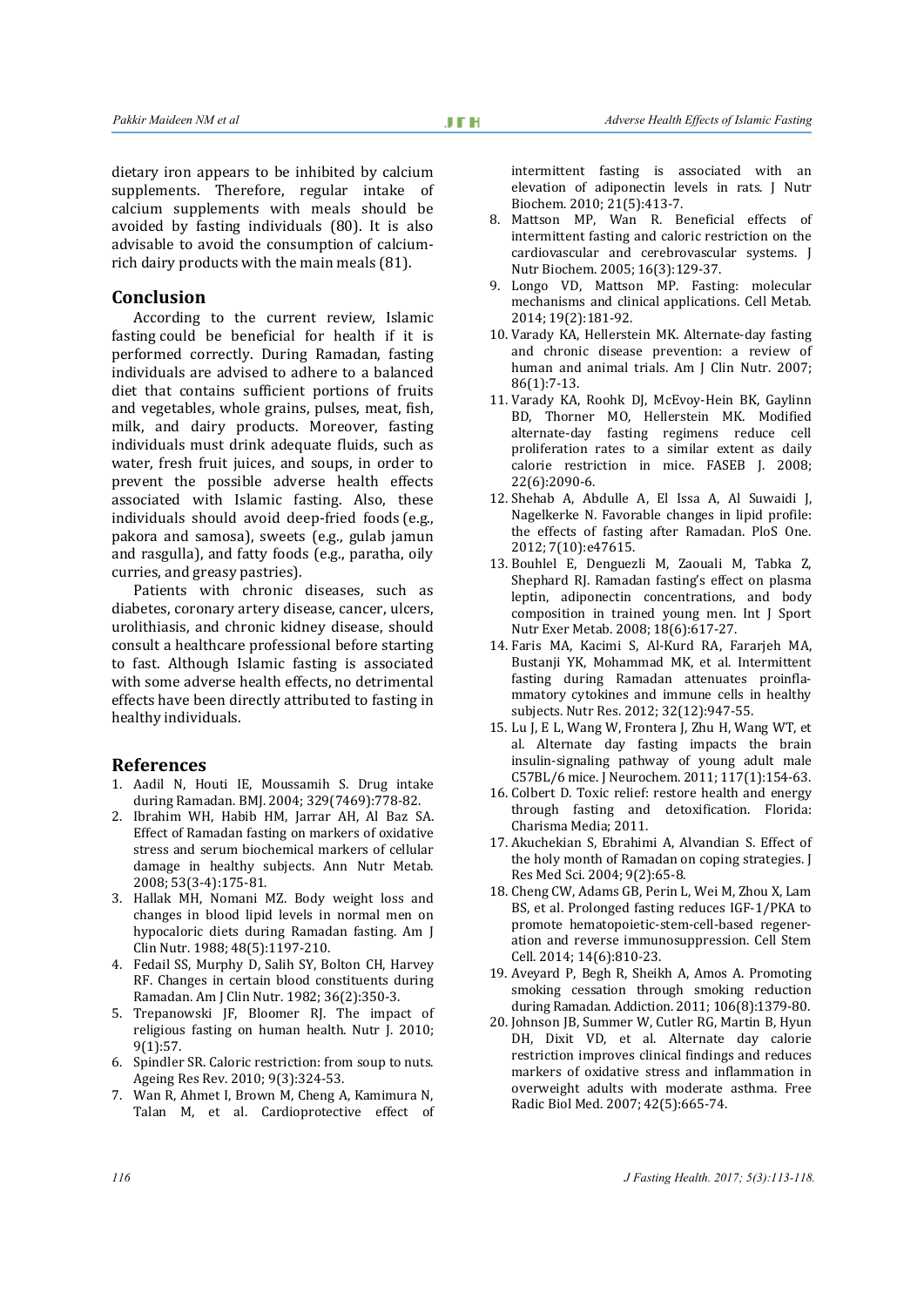dietary iron appears to be inhibited by calcium supplements. Therefore, regular intake of calcium supplements with meals should be avoided by fasting individuals (80). It is also advisable to avoid the consumption of calciumrich dairy products with the main meals (81).

### **Conclusion**

According to the current review, Islamic fasting could be beneficial for health if it is performed correctly. During Ramadan, fasting individuals are advised to adhere to a balanced diet that contains sufficient portions of fruits and vegetables, whole grains, pulses, meat, fish, milk, and dairy products. Moreover, fasting individuals must drink adequate fluids, such as water, fresh fruit juices, and soups, in order to prevent the possible adverse health effects associated with Islamic fasting. Also, these individuals should avoid deep-fried foods (e.g., pakora and samosa), sweets (e.g., gulab jamun and rasgulla), and fatty foods (e.g., paratha, oily curries, and greasy pastries).

Patients with chronic diseases, such as diabetes, coronary artery disease, cancer, ulcers, urolithiasis, and chronic kidney disease, should consult a healthcare professional before starting to fast. Although Islamic fasting is associated with some adverse health effects, no detrimental effects have been directly attributed to fasting in healthy individuals.

#### **References**

- 1. Aadil N, Houti IE, Moussamih S. Drug intake during Ramadan. BMJ. 2004; 329(7469):778-82.
- 2. Ibrahim WH, Habib HM, Jarrar AH, Al Baz SA. Effect of Ramadan fasting on markers of oxidative stress and serum biochemical markers of cellular damage in healthy subjects. Ann Nutr Metab. 2008; 53(3-4):175-81.
- 3. Hallak MH, Nomani MZ. Body weight loss and changes in blood lipid levels in normal men on hypocaloric diets during Ramadan fasting. Am J Clin Nutr. 1988; 48(5):1197-210.
- 4. Fedail SS, Murphy D, Salih SY, Bolton CH, Harvey RF. Changes in certain blood constituents during Ramadan. Am J Clin Nutr. 1982; 36(2):350-3.
- 5. Trepanowski JF, Bloomer RJ. The impact of religious fasting on human health. Nutr J. 2010; 9(1):57.
- 6. Spindler SR. Caloric restriction: from soup to nuts. Ageing Res Rev. 2010; 9(3):324-53.
- 7. Wan R, Ahmet I, Brown M, Cheng A, Kamimura N, Talan M, et al. Cardioprotective effect of

intermittent fasting is associated with an elevation of adiponectin levels in rats. J Nutr Biochem. 2010; 21(5):413-7.

- 8. Mattson MP, Wan R. Beneficial effects of intermittent fasting and caloric restriction on the cardiovascular and cerebrovascular systems. J Nutr Biochem. 2005; 16(3):129-37.
- 9. Longo VD, Mattson MP. Fasting: molecular mechanisms and clinical applications. Cell Metab. 2014; 19(2):181-92.
- 10. Varady KA, Hellerstein MK. Alternate-day fasting and chronic disease prevention: a review of human and animal trials. Am J Clin Nutr. 2007; 86(1):7-13.
- 11. Varady KA, Roohk DJ, McEvoy-Hein BK, Gaylinn BD, Thorner MO, Hellerstein MK. Modified alternate-day fasting regimens reduce cell proliferation rates to a similar extent as daily calorie restriction in mice. FASEB J. 2008; 22(6):2090-6.
- 12. Shehab A, Abdulle A, El Issa A, Al Suwaidi J, Nagelkerke N. Favorable changes in lipid profile: the effects of fasting after Ramadan. PloS One. 2012; 7(10):e47615.
- 13. Bouhlel E, Denguezli M, Zaouali M, Tabka Z, Shephard RJ. Ramadan fasting's effect on plasma leptin, adiponectin concentrations, and body composition in trained young men. Int J Sport Nutr Exer Metab. 2008; 18(6):617-27.
- 14. Faris MA, Kacimi S, Al-Kurd RA, Fararjeh MA, Bustanji YK, Mohammad MK, et al. Intermittent fasting during Ramadan attenuates proinflammatory cytokines and immune cells in healthy subjects. Nutr Res. 2012; 32(12):947-55.
- 15. Lu J, E L, Wang W, Frontera J, Zhu H, Wang WT, et al. Alternate day fasting impacts the brain insulin-signaling pathway of young adult male C57BL/6 mice. J Neurochem. 2011; 117(1):154-63.
- 16. Colbert D. Toxic relief: restore health and energy through fasting and detoxification. Florida: Charisma Media; 2011.
- 17. Akuchekian S, Ebrahimi A, Alvandian S. Effect of the holy month of Ramadan on coping strategies. J Res Med Sci. 2004; 9(2):65-8.
- 18. Cheng CW, Adams GB, Perin L, Wei M, Zhou X, Lam BS, et al. Prolonged fasting reduces IGF-1/PKA to promote hematopoietic-stem-cell-based regeneration and reverse immunosuppression. Cell Stem Cell. 2014; 14(6):810-23.
- 19. Aveyard P, Begh R, Sheikh A, Amos A. Promoting smoking cessation through smoking reduction during Ramadan. Addiction. 2011; 106(8):1379-80.
- 20. Johnson JB, Summer W, Cutler RG, Martin B, Hyun DH, Dixit VD, et al. Alternate day calorie restriction improves clinical findings and reduces markers of oxidative stress and inflammation in overweight adults with moderate asthma. Free Radic Biol Med. 2007; 42(5):665-74.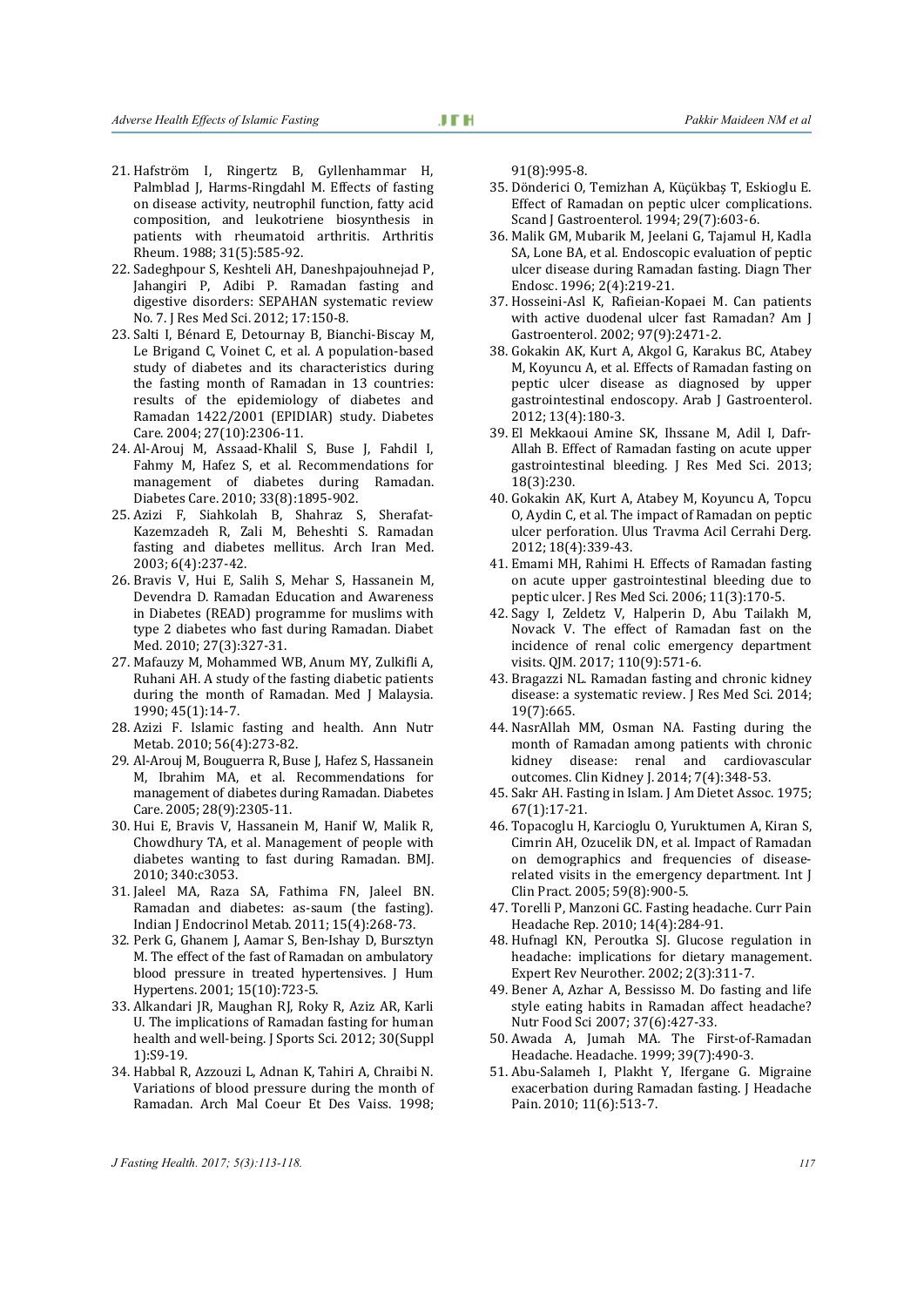- 22. Sadeghpour S, Keshteli AH, Daneshpajouhnejad P, Jahangiri P, Adibi P. Ramadan fasting and digestive disorders: SEPAHAN systematic review No. 7. J Res Med Sci. 2012; 17:150-8.
- 23. Salti I, Bénard E, Detournay B, Bianchi-Biscay M, Le Brigand C, Voinet C, et al. A population-based study of diabetes and its characteristics during the fasting month of Ramadan in 13 countries: results of the epidemiology of diabetes and Ramadan 1422/2001 (EPIDIAR) study. Diabetes Care. 2004; 27(10):2306-11.
- 24. Al-Arouj M, Assaad-Khalil S, Buse J, Fahdil I, Fahmy M, Hafez S, et al. Recommendations for management of diabetes during Ramadan. Diabetes Care. 2010; 33(8):1895-902.
- 25. Azizi F, Siahkolah B, Shahraz S, Sherafat-Kazemzadeh R, Zali M, Beheshti S. Ramadan fasting and diabetes mellitus. Arch Iran Med. 2003; 6(4):237-42.
- 26. Bravis V, Hui E, Salih S, Mehar S, Hassanein M, Devendra D. Ramadan Education and Awareness in Diabetes (READ) programme for muslims with type 2 diabetes who fast during Ramadan. Diabet Med. 2010; 27(3):327-31.
- 27. Mafauzy M, Mohammed WB, Anum MY, Zulkifli A, Ruhani AH. A study of the fasting diabetic patients during the month of Ramadan. Med J Malaysia. 1990; 45(1):14-7.
- 28. Azizi F. Islamic fasting and health. Ann Nutr Metab. 2010; 56(4):273-82.
- 29. Al-Arouj M, Bouguerra R, Buse J, Hafez S, Hassanein M, Ibrahim MA, et al. Recommendations for management of diabetes during Ramadan. Diabetes Care. 2005; 28(9):2305-11.
- 30. Hui E, Bravis V, Hassanein M, Hanif W, Malik R, Chowdhury TA, et al. Management of people with diabetes wanting to fast during Ramadan. BMJ. 2010; 340:c3053.
- 31. Jaleel MA, Raza SA, Fathima FN, Jaleel BN. Ramadan and diabetes: as-saum (the fasting). Indian J Endocrinol Metab. 2011; 15(4):268-73.
- 32. Perk G, Ghanem J, Aamar S, Ben-Ishay D, Bursztyn M. The effect of the fast of Ramadan on ambulatory blood pressure in treated hypertensives. J Hum Hypertens. 2001; 15(10):723-5.
- 33. Alkandari JR, Maughan RJ, Roky R, Aziz AR, Karli U. The implications of Ramadan fasting for human health and well-being. J Sports Sci. 2012; 30(Suppl 1):S9-19.
- 34. Habbal R, Azzouzi L, Adnan K, Tahiri A, Chraibi N. Variations of blood pressure during the month of Ramadan. Arch Mal Coeur Et Des Vaiss. 1998;

91(8):995-8.

- 35. Dönderici O, Temizhan A, Küçükbaş T, Eskioglu E. Effect of Ramadan on peptic ulcer complications. Scand J Gastroenterol. 1994; 29(7):603-6.
- 36. Malik GM, Mubarik M, Jeelani G, Tajamul H, Kadla SA, Lone BA, et al. Endoscopic evaluation of peptic ulcer disease during Ramadan fasting. Diagn Ther Endosc. 1996; 2(4):219-21.
- 37. Hosseini-Asl K, Rafieian-Kopaei M. Can patients with active duodenal ulcer fast Ramadan? Am J Gastroenterol. 2002; 97(9):2471-2.
- 38. Gokakin AK, Kurt A, Akgol G, Karakus BC, Atabey M, Koyuncu A, et al. Effects of Ramadan fasting on peptic ulcer disease as diagnosed by upper gastrointestinal endoscopy. Arab J Gastroenterol. 2012; 13(4):180-3.
- 39. El Mekkaoui Amine SK, Ihssane M, Adil I, Dafr-Allah B. Effect of Ramadan fasting on acute upper gastrointestinal bleeding. J Res Med Sci. 2013; 18(3):230.
- 40. Gokakin AK, Kurt A, Atabey M, Koyuncu A, Topcu O, Aydin C, et al. The impact of Ramadan on peptic ulcer perforation. Ulus Travma Acil Cerrahi Derg. 2012; 18(4):339-43.
- 41. Emami MH, Rahimi H. Effects of Ramadan fasting on acute upper gastrointestinal bleeding due to peptic ulcer. J Res Med Sci. 2006; 11(3):170-5.
- 42. Sagy I, Zeldetz V, Halperin D, Abu Tailakh M, Novack V. The effect of Ramadan fast on the incidence of renal colic emergency department visits. QJM. 2017; 110(9):571-6.
- 43. Bragazzi NL. Ramadan fasting and chronic kidney disease: a systematic review. J Res Med Sci. 2014; 19(7):665.
- 44. NasrAllah MM, Osman NA. Fasting during the month of Ramadan among patients with chronic kidney disease: renal and cardiovascular outcomes. Clin Kidney J. 2014; 7(4):348-53.
- 45. Sakr AH. Fasting in Islam. J Am Dietet Assoc. 1975; 67(1):17-21.
- 46. Topacoglu H, Karcioglu O, Yuruktumen A, Kiran S, Cimrin AH, Ozucelik DN, et al. Impact of Ramadan on demographics and frequencies of diseaserelated visits in the emergency department. Int J Clin Pract. 2005; 59(8):900-5.
- 47. Torelli P, Manzoni GC. Fasting headache. Curr Pain Headache Rep. 2010; 14(4):284-91.
- 48. Hufnagl KN, Peroutka SJ. Glucose regulation in headache: implications for dietary management. Expert Rev Neurother. 2002; 2(3):311-7.
- 49. Bener A, Azhar A, Bessisso M. Do fasting and life style eating habits in Ramadan affect headache? Nutr Food Sci 2007; 37(6):427-33.
- 50. Awada A, Jumah MA. The First-of-Ramadan Headache. Headache. 1999; 39(7):490-3.
- 51. Abu-Salameh I, Plakht Y, Ifergane G. Migraine exacerbation during Ramadan fasting. J Headache Pain. 2010; 11(6):513-7.

*J Fasting Health. 2017; 5(3):113-118. 117*